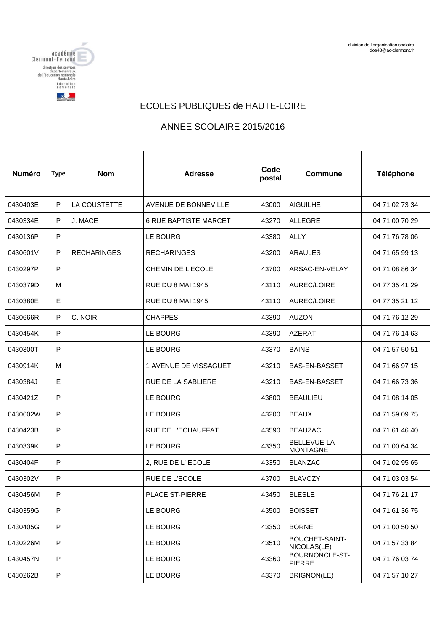

## ECOLES PUBLIQUES de HAUTE-LOIRE

## ANNEE SCOLAIRE 2015/2016

| <b>Numéro</b> | <b>Type</b> | <b>Nom</b>          | <b>Adresse</b>               | Code<br>postal | <b>Commune</b>                  | Téléphone      |
|---------------|-------------|---------------------|------------------------------|----------------|---------------------------------|----------------|
| 0430403E      | P           | <b>LA COUSTETTE</b> | <b>AVENUE DE BONNEVILLE</b>  | 43000          | <b>AIGUILHE</b>                 | 04 71 02 73 34 |
| 0430334E      | P           | J. MACE             | <b>6 RUE BAPTISTE MARCET</b> | 43270          | <b>ALLEGRE</b>                  | 04 71 00 70 29 |
| 0430136P      | P           |                     | LE BOURG                     | 43380          | <b>ALLY</b>                     | 04 71 76 78 06 |
| 0430601V      | P           | <b>RECHARINGES</b>  | <b>RECHARINGES</b>           | 43200          | <b>ARAULES</b>                  | 04 71 65 99 13 |
| 0430297P      | P           |                     | <b>CHEMIN DE L'ECOLE</b>     | 43700          | ARSAC-EN-VELAY                  | 04 71 08 86 34 |
| 0430379D      | м           |                     | <b>RUE DU 8 MAI 1945</b>     | 43110          | <b>AUREC/LOIRE</b>              | 04 77 35 41 29 |
| 0430380E      | E           |                     | <b>RUE DU 8 MAI 1945</b>     | 43110          | <b>AUREC/LOIRE</b>              | 04 77 35 21 12 |
| 0430666R      | P           | C. NOIR             | <b>CHAPPES</b>               | 43390          | <b>AUZON</b>                    | 04 71 76 12 29 |
| 0430454K      | P           |                     | <b>LE BOURG</b>              | 43390          | <b>AZERAT</b>                   | 04 71 76 14 63 |
| 0430300T      | P           |                     | LE BOURG                     | 43370          | <b>BAINS</b>                    | 04 71 57 50 51 |
| 0430914K      | м           |                     | 1 AVENUE DE VISSAGUET        | 43210          | BAS-EN-BASSET                   | 04 71 66 97 15 |
| 0430384J      | E           |                     | <b>RUE DE LA SABLIERE</b>    | 43210          | <b>BAS-EN-BASSET</b>            | 04 71 66 73 36 |
| 0430421Z      | P           |                     | <b>LE BOURG</b>              | 43800          | <b>BEAULIEU</b>                 | 04 71 08 14 05 |
| 0430602W      | P           |                     | <b>LE BOURG</b>              | 43200          | <b>BEAUX</b>                    | 04 71 59 09 75 |
| 0430423B      | P           |                     | <b>RUE DE L'ECHAUFFAT</b>    | 43590          | <b>BEAUZAC</b>                  | 04 71 61 46 40 |
| 0430339K      | P           |                     | LE BOURG                     | 43350          | BELLEVUE-LA-<br><b>MONTAGNE</b> | 04 71 00 64 34 |
| 0430404F      | P           |                     | 2, RUE DE L'ECOLE            | 43350          | <b>BLANZAC</b>                  | 04 71 02 95 65 |
| 0430302V      | P           |                     | RUE DE L'ECOLE               | 43700          | <b>BLAVOZY</b>                  | 04 71 03 03 54 |
| 0430456M      | ${\sf P}$   |                     | PLACE ST-PIERRE              | 43450          | <b>BLESLE</b>                   | 04 71 76 21 17 |
| 0430359G      | $\mathsf P$ |                     | LE BOURG                     | 43500          | <b>BOISSET</b>                  | 04 71 61 36 75 |
| 0430405G      | P           |                     | LE BOURG                     | 43350          | <b>BORNE</b>                    | 04 71 00 50 50 |
| 0430226M      | P           |                     | LE BOURG                     | 43510          | BOUCHET-SAINT-<br>NICOLAS(LE)   | 04 71 57 33 84 |
| 0430457N      | P           |                     | LE BOURG                     | 43360          | BOURNONCLE-ST-<br>PIERRE        | 04 71 76 03 74 |
| 0430262B      | ${\sf P}$   |                     | LE BOURG                     | 43370          | BRIGNON(LE)                     | 04 71 57 10 27 |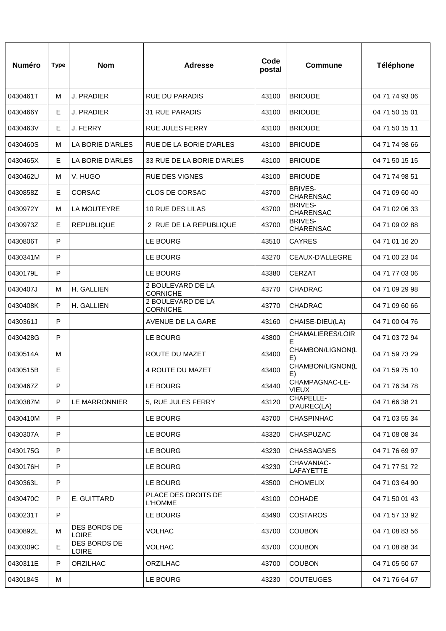| <b>Numéro</b> | <b>Type</b> | <b>Nom</b>                   | <b>Adresse</b>                        | Code<br>postal | Commune                            | <b>Téléphone</b> |
|---------------|-------------|------------------------------|---------------------------------------|----------------|------------------------------------|------------------|
| 0430461T      | м           | <b>J. PRADIER</b>            | <b>RUE DU PARADIS</b>                 | 43100          | <b>BRIOUDE</b>                     | 04 71 74 93 06   |
| 0430466Y      | Е           | <b>J. PRADIER</b>            | 31 RUE PARADIS                        | 43100          | <b>BRIOUDE</b>                     | 04 71 50 15 01   |
| 0430463V      | Е           | J. FERRY                     | RUE JULES FERRY                       | 43100          | <b>BRIOUDE</b>                     | 04 71 50 15 11   |
| 0430460S      | м           | LA BORIE D'ARLES             | RUE DE LA BORIE D'ARLES               | 43100          | <b>BRIOUDE</b>                     | 04 71 74 98 66   |
| 0430465X      | Е           | LA BORIE D'ARLES             | 33 RUE DE LA BORIE D'ARLES            | 43100          | <b>BRIOUDE</b>                     | 04 71 50 15 15   |
| 0430462U      | м           | V. HUGO                      | <b>RUE DES VIGNES</b>                 | 43100          | <b>BRIOUDE</b>                     | 04 71 74 98 51   |
| 0430858Z      | Е           | <b>CORSAC</b>                | CLOS DE CORSAC                        | 43700          | <b>BRIVES-</b><br><b>CHARENSAC</b> | 04 71 09 60 40   |
| 0430972Y      | м           | <b>LA MOUTEYRE</b>           | 10 RUE DES LILAS                      | 43700          | <b>BRIVES-</b><br><b>CHARENSAC</b> | 04 71 02 06 33   |
| 0430973Z      | Е           | <b>REPUBLIQUE</b>            | 2 RUE DE LA REPUBLIQUE                | 43700          | <b>BRIVES-</b><br><b>CHARENSAC</b> | 04 71 09 02 88   |
| 0430806T      | P           |                              | LE BOURG                              | 43510          | <b>CAYRES</b>                      | 04 71 01 16 20   |
| 0430341M      | P           |                              | LE BOURG                              | 43270          | CEAUX-D'ALLEGRE                    | 04 71 00 23 04   |
| 0430179L      | P           |                              | LE BOURG                              | 43380          | <b>CERZAT</b>                      | 04 71 77 03 06   |
| 0430407J      | м           | H. GALLIEN                   | 2 BOULEVARD DE LA<br><b>CORNICHE</b>  | 43770          | <b>CHADRAC</b>                     | 04 71 09 29 98   |
| 0430408K      | P           | H. GALLIEN                   | 2 BOULEVARD DE LA<br><b>CORNICHE</b>  | 43770          | <b>CHADRAC</b>                     | 04 71 09 60 66   |
| 0430361J      | P           |                              | AVENUE DE LA GARE                     | 43160          | CHAISE-DIEU(LA)                    | 04 71 00 04 76   |
| 0430428G      | P           |                              | LE BOURG                              | 43800          | CHAMALIERES/LOIR<br>Е              | 04 71 03 72 94   |
| 0430514A      | м           |                              | ROUTE DU MAZET                        | 43400          | CHAMBON/LIGNON(L<br>E)             | 04 71 59 73 29   |
| 0430515B      | E           |                              | 4 ROUTE DU MAZET                      | 43400          | CHAMBON/LIGNON(L<br>E)             | 04 71 59 75 10   |
| 0430467Z      | P           |                              | LE BOURG                              | 43440          | CHAMPAGNAC-LE-<br><b>VIEUX</b>     | 04 71 76 34 78   |
| 0430387M      | P           | LE MARRONNIER                | 5, RUE JULES FERRY                    | 43120          | CHAPELLE-<br>D'AUREC(LA)           | 04 71 66 38 21   |
| 0430410M      | P           |                              | LE BOURG                              | 43700          | <b>CHASPINHAC</b>                  | 04 71 03 55 34   |
| 0430307A      | P           |                              | LE BOURG                              | 43320          | <b>CHASPUZAC</b>                   | 04 71 08 08 34   |
| 0430175G      | P           |                              | LE BOURG                              | 43230          | <b>CHASSAGNES</b>                  | 04 71 76 69 97   |
| 0430176H      | P           |                              | LE BOURG                              | 43230          | CHAVANIAC-<br>LAFAYETTE            | 04 71 77 51 72   |
| 0430363L      | P           |                              | LE BOURG                              | 43500          | <b>CHOMELIX</b>                    | 04 71 03 64 90   |
| 0430470C      | P           | E. GUITTARD                  | PLACE DES DROITS DE<br><b>L'HOMME</b> | 43100          | <b>COHADE</b>                      | 04 71 50 01 43   |
| 0430231T      | P           |                              | LE BOURG                              | 43490          | <b>COSTAROS</b>                    | 04 71 57 13 92   |
| 0430892L      | м           | DES BORDS DE<br><b>LOIRE</b> | <b>VOLHAC</b>                         | 43700          | <b>COUBON</b>                      | 04 71 08 83 56   |
| 0430309C      | Е           | DES BORDS DE<br><b>LOIRE</b> | <b>VOLHAC</b>                         | 43700          | <b>COUBON</b>                      | 04 71 08 88 34   |
| 0430311E      | P           | ORZILHAC                     | <b>ORZILHAC</b>                       | 43700          | <b>COUBON</b>                      | 04 71 05 50 67   |
| 0430184S      | М           |                              | LE BOURG                              | 43230          | <b>COUTEUGES</b>                   | 04 71 76 64 67   |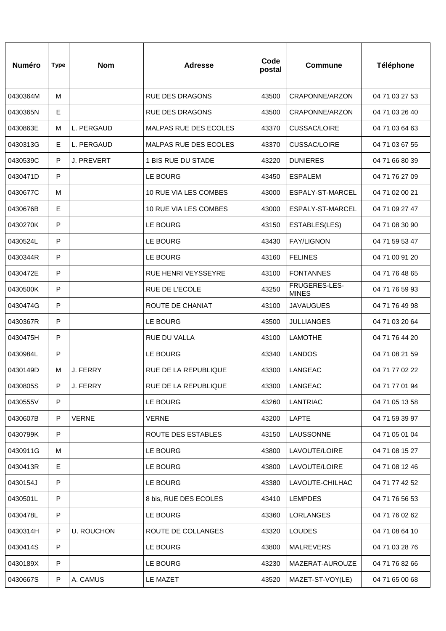| <b>Numéro</b> | <b>Type</b> | <b>Nom</b>        | <b>Adresse</b>               | Code<br>postal | <b>Commune</b>                | Téléphone      |
|---------------|-------------|-------------------|------------------------------|----------------|-------------------------------|----------------|
| 0430364M      | м           |                   | <b>RUE DES DRAGONS</b>       | 43500          | CRAPONNE/ARZON                | 04 71 03 27 53 |
| 0430365N      | E           |                   | <b>RUE DES DRAGONS</b>       | 43500          | CRAPONNE/ARZON                | 04 71 03 26 40 |
| 0430863E      | М           | L. PERGAUD        | <b>MALPAS RUE DES ECOLES</b> | 43370          | <b>CUSSAC/LOIRE</b>           | 04 71 03 64 63 |
| 0430313G      | Е           | L. PERGAUD        | <b>MALPAS RUE DES ECOLES</b> | 43370          | <b>CUSSAC/LOIRE</b>           | 04 71 03 67 55 |
| 0430539C      | P           | J. PREVERT        | 1 BIS RUE DU STADE           | 43220          | <b>DUNIERES</b>               | 04 71 66 80 39 |
| 0430471D      | P           |                   | LE BOURG                     | 43450          | <b>ESPALEM</b>                | 04 71 76 27 09 |
| 0430677C      | м           |                   | 10 RUE VIA LES COMBES        | 43000          | ESPALY-ST-MARCEL              | 04 71 02 00 21 |
| 0430676B      | E           |                   | 10 RUE VIA LES COMBES        | 43000          | ESPALY-ST-MARCEL              | 04 71 09 27 47 |
| 0430270K      | P           |                   | <b>LE BOURG</b>              | 43150          | ESTABLES(LES)                 | 04 71 08 30 90 |
| 0430524L      | P           |                   | <b>LE BOURG</b>              | 43430          | <b>FAY/LIGNON</b>             | 04 71 59 53 47 |
| 0430344R      | P           |                   | LE BOURG                     | 43160          | <b>FELINES</b>                | 04 71 00 91 20 |
| 0430472E      | P           |                   | <b>RUE HENRI VEYSSEYRE</b>   | 43100          | <b>FONTANNES</b>              | 04 71 76 48 65 |
| 0430500K      | P           |                   | <b>RUE DE L'ECOLE</b>        | 43250          | FRUGERES-LES-<br><b>MINES</b> | 04 71 76 59 93 |
| 0430474G      | P           |                   | ROUTE DE CHANIAT             | 43100          | <b>JAVAUGUES</b>              | 04 71 76 49 98 |
| 0430367R      | P           |                   | <b>LE BOURG</b>              | 43500          | <b>JULLIANGES</b>             | 04 71 03 20 64 |
| 0430475H      | P           |                   | <b>RUE DU VALLA</b>          | 43100          | <b>LAMOTHE</b>                | 04 71 76 44 20 |
| 0430984L      | P           |                   | LE BOURG                     | 43340          | <b>LANDOS</b>                 | 04 71 08 21 59 |
| 0430149D      | м           | J. FERRY          | RUE DE LA REPUBLIQUE         | 43300          | LANGEAC                       | 04 71 77 02 22 |
| 0430805S      | P           | J. FERRY          | RUE DE LA REPUBLIQUE         | 43300          | LANGEAC                       | 04 71 77 01 94 |
| 0430555V      | P           |                   | LE BOURG                     | 43260          | <b>LANTRIAC</b>               | 04 71 05 13 58 |
| 0430607B      | P           | <b>VERNE</b>      | <b>VERNE</b>                 | 43200          | <b>LAPTE</b>                  | 04 71 59 39 97 |
| 0430799K      | P           |                   | ROUTE DES ESTABLES           | 43150          | LAUSSONNE                     | 04 71 05 01 04 |
| 0430911G      | M           |                   | LE BOURG                     | 43800          | LAVOUTE/LOIRE                 | 04 71 08 15 27 |
| 0430413R      | E           |                   | LE BOURG                     | 43800          | LAVOUTE/LOIRE                 | 04 71 08 12 46 |
| 0430154J      | P           |                   | LE BOURG                     | 43380          | LAVOUTE-CHILHAC               | 04 71 77 42 52 |
| 0430501L      | ${\sf P}$   |                   | 8 bis, RUE DES ECOLES        | 43410          | <b>LEMPDES</b>                | 04 71 76 56 53 |
| 0430478L      | P           |                   | LE BOURG                     | 43360          | LORLANGES                     | 04 71 76 02 62 |
| 0430314H      | P           | <b>U. ROUCHON</b> | ROUTE DE COLLANGES           | 43320          | <b>LOUDES</b>                 | 04 71 08 64 10 |
| 0430414S      | P           |                   | LE BOURG                     | 43800          | <b>MALREVERS</b>              | 04 71 03 28 76 |
| 0430189X      | P           |                   | LE BOURG                     | 43230          | MAZERAT-AUROUZE               | 04 71 76 82 66 |
| 0430667S      | ${\sf P}$   | A. CAMUS          | LE MAZET                     | 43520          | MAZET-ST-VOY(LE)              | 04 71 65 00 68 |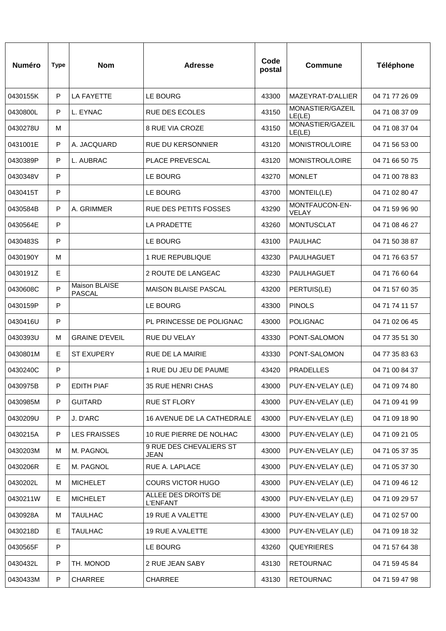| <b>Numéro</b> | <b>Type</b> | <b>Nom</b>                     | Adresse                                | Code<br>postal | <b>Commune</b>             | <b>Téléphone</b> |
|---------------|-------------|--------------------------------|----------------------------------------|----------------|----------------------------|------------------|
| 0430155K      | P           | <b>LA FAYETTE</b>              | LE BOURG                               | 43300          | MAZEYRAT-D'ALLIER          | 04 71 77 26 09   |
| 0430800L      | P           | L. EYNAC                       | <b>RUE DES ECOLES</b>                  | 43150          | MONASTIER/GAZEIL<br>LE(LE) | 04 71 08 37 09   |
| 0430278U      | м           |                                | <b>8 RUE VIA CROZE</b>                 | 43150          | MONASTIER/GAZEIL<br>LE(LE) | 04 71 08 37 04   |
| 0431001E      | P           | A. JACQUARD                    | RUE DU KERSONNIER                      | 43120          | MONISTROL/LOIRE            | 04 71 56 53 00   |
| 0430389P      | P           | L. AUBRAC                      | <b>PLACE PREVESCAL</b>                 | 43120          | MONISTROL/LOIRE            | 04 71 66 50 75   |
| 0430348V      | P           |                                | LE BOURG                               | 43270          | <b>MONLET</b>              | 04 71 00 78 83   |
| 0430415T      | P           |                                | LE BOURG                               | 43700          | MONTEIL(LE)                | 04 71 02 80 47   |
| 0430584B      | P           | A. GRIMMER                     | <b>RUE DES PETITS FOSSES</b>           | 43290          | MONTFAUCON-EN-<br>VELAY    | 04 71 59 96 90   |
| 0430564E      | P           |                                | LA PRADETTE                            | 43260          | <b>MONTUSCLAT</b>          | 04 71 08 46 27   |
| 0430483S      | P           |                                | LE BOURG                               | 43100          | PAULHAC                    | 04 71 50 38 87   |
| 0430190Y      | м           |                                | <b>1 RUE REPUBLIQUE</b>                | 43230          | PAULHAGUET                 | 04 71 76 63 57   |
| 0430191Z      | E           |                                | 2 ROUTE DE LANGEAC                     | 43230          | PAULHAGUET                 | 04 71 76 60 64   |
| 0430608C      | P           | Maison BLAISE<br><b>PASCAL</b> | <b>MAISON BLAISE PASCAL</b>            | 43200          | PERTUIS(LE)                | 04 71 57 60 35   |
| 0430159P      | P           |                                | LE BOURG                               | 43300          | <b>PINOLS</b>              | 04 71 74 11 57   |
| 0430416U      | P           |                                | PL PRINCESSE DE POLIGNAC               | 43000          | <b>POLIGNAC</b>            | 04 71 02 06 45   |
| 0430393U      | м           | <b>GRAINE D'EVEIL</b>          | RUE DU VELAY                           | 43330          | PONT-SALOMON               | 04 77 35 51 30   |
| 0430801M      | Е           | <b>ST EXUPERY</b>              | <b>RUE DE LA MAIRIE</b>                | 43330          | PONT-SALOMON               | 04 77 35 83 63   |
| 0430240C      | P           |                                | 1 RUE DU JEU DE PAUME                  | 43420          | <b>PRADELLES</b>           | 04 71 00 84 37   |
| 0430975B      | P           | <b>EDITH PIAF</b>              | 35 RUE HENRI CHAS                      | 43000          | PUY-EN-VELAY (LE)          | 04 71 09 74 80   |
| 0430985M      | P           | <b>GUITARD</b>                 | <b>RUE ST FLORY</b>                    | 43000          | PUY-EN-VELAY (LE)          | 04 71 09 41 99   |
| 0430209U      | P           | J. D'ARC                       | 16 AVENUE DE LA CATHEDRALE             | 43000          | PUY-EN-VELAY (LE)          | 04 71 09 18 90   |
| 0430215A      | P           | <b>LES FRAISSES</b>            | 10 RUE PIERRE DE NOLHAC                | 43000          | PUY-EN-VELAY (LE)          | 04 71 09 21 05   |
| 0430203M      | м           | M. PAGNOL                      | 9 RUE DES CHEVALIERS ST<br>JEAN        | 43000          | PUY-EN-VELAY (LE)          | 04 71 05 37 35   |
| 0430206R      | Е           | M. PAGNOL                      | RUE A. LAPLACE                         | 43000          | PUY-EN-VELAY (LE)          | 04 71 05 37 30   |
| 0430202L      | M           | <b>MICHELET</b>                | <b>COURS VICTOR HUGO</b>               | 43000          | PUY-EN-VELAY (LE)          | 04 71 09 46 12   |
| 0430211W      | E           | <b>MICHELET</b>                | ALLEE DES DROITS DE<br><b>L'ENFANT</b> | 43000          | PUY-EN-VELAY (LE)          | 04 71 09 29 57   |
| 0430928A      | м           | <b>TAULHAC</b>                 | 19 RUE A VALETTE                       | 43000          | PUY-EN-VELAY (LE)          | 04 71 02 57 00   |
| 0430218D      | Е           | <b>TAULHAC</b>                 | 19 RUE A.VALETTE                       | 43000          | PUY-EN-VELAY (LE)          | 04 71 09 18 32   |
| 0430565F      | P           |                                | LE BOURG                               | 43260          | <b>QUEYRIERES</b>          | 04 71 57 64 38   |
| 0430432L      | P           | TH. MONOD                      | 2 RUE JEAN SABY                        | 43130          | <b>RETOURNAC</b>           | 04 71 59 45 84   |
| 0430433M      | $\mathsf P$ | <b>CHARREE</b>                 | CHARREE                                | 43130          | <b>RETOURNAC</b>           | 04 71 59 47 98   |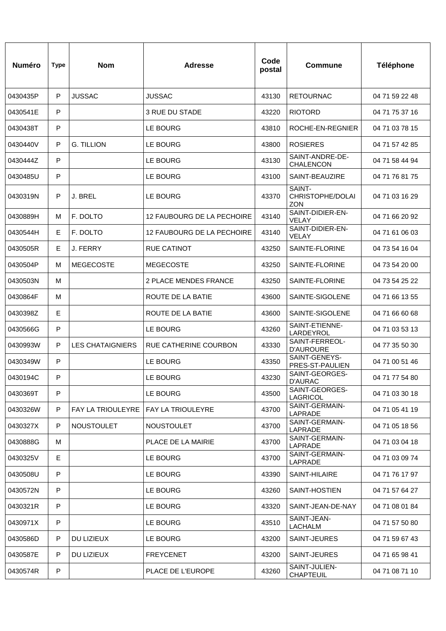| <b>Numéro</b> | <b>Type</b> | <b>Nom</b>              | <b>Adresse</b>             | Code<br>postal | <b>Commune</b>                           | <b>Téléphone</b> |
|---------------|-------------|-------------------------|----------------------------|----------------|------------------------------------------|------------------|
| 0430435P      | P           | <b>JUSSAC</b>           | <b>JUSSAC</b>              | 43130          | <b>RETOURNAC</b>                         | 04 71 59 22 48   |
| 0430541E      | P           |                         | 3 RUE DU STADE             | 43220          | <b>RIOTORD</b>                           | 04 71 75 37 16   |
| 0430438T      | P           |                         | LE BOURG                   | 43810          | ROCHE-EN-REGNIER                         | 04 71 03 78 15   |
| 0430440V      | P           | <b>G. TILLION</b>       | LE BOURG                   | 43800          | <b>ROSIERES</b>                          | 04 71 57 42 85   |
| 0430444Z      | P           |                         | LE BOURG                   | 43130          | SAINT-ANDRE-DE-<br><b>CHALENCON</b>      | 04 71 58 44 94   |
| 0430485U      | P           |                         | LE BOURG                   | 43100          | SAINT-BEAUZIRE                           | 04 71 76 81 75   |
| 0430319N      | P           | J. BREL                 | LE BOURG                   | 43370          | SAINT-<br>CHRISTOPHE/DOLAI<br><b>ZON</b> | 04 71 03 16 29   |
| 0430889H      | M           | F. DOLTO                | 12 FAUBOURG DE LA PECHOIRE | 43140          | SAINT-DIDIER-EN-<br>VELAY                | 04 71 66 20 92   |
| 0430544H      | Е           | F. DOLTO                | 12 FAUBOURG DE LA PECHOIRE | 43140          | SAINT-DIDIER-EN-<br>VELAY                | 04 71 61 06 03   |
| 0430505R      | Е           | J. FERRY                | <b>RUE CATINOT</b>         | 43250          | SAINTE-FLORINE                           | 04 73 54 16 04   |
| 0430504P      | М           | <b>MEGECOSTE</b>        | <b>MEGECOSTE</b>           | 43250          | SAINTE-FLORINE                           | 04 73 54 20 00   |
| 0430503N      | M           |                         | 2 PLACE MENDES FRANCE      | 43250          | SAINTE-FLORINE                           | 04 73 54 25 22   |
| 0430864F      | M           |                         | ROUTE DE LA BATIE          | 43600          | SAINTE-SIGOLENE                          | 04 71 66 13 55   |
| 0430398Z      | E           |                         | ROUTE DE LA BATIE          | 43600          | SAINTE-SIGOLENE                          | 04 71 66 60 68   |
| 0430566G      | P           |                         | LE BOURG                   | 43260          | SAINT-ETIENNE-<br>LARDEYROL              | 04 71 03 53 13   |
| 0430993W      | P           | <b>LES CHATAIGNIERS</b> | RUE CATHERINE COURBON      | 43330          | SAINT-FERREOL-<br><b>D'AUROURE</b>       | 04 77 35 50 30   |
| 0430349W      | P           |                         | LE BOURG                   | 43350          | SAINT-GENEYS-<br>PRES-ST-PAULIEN         | 04 71 00 51 46   |
| 0430194C      | P           |                         | LE BOURG                   | 43230          | SAINT-GEORGES-<br><b>D'AURAC</b>         | 04 71 77 54 80   |
| 0430369T      | P           |                         | LE BOURG                   | 43500          | SAINT-GEORGES-<br>LAGRICOL               | 04 71 03 30 18   |
| 0430326W      | P           | FAY LA TRIOULEYRE       | FAY LA TRIOULEYRE          | 43700          | SAINT-GERMAIN-<br>LAPRADE                | 04 71 05 41 19   |
| 0430327X      | P           | <b>NOUSTOULET</b>       | <b>NOUSTOULET</b>          | 43700          | SAINT-GERMAIN-<br>LAPRADE                | 04 71 05 18 56   |
| 0430888G      | м           |                         | PLACE DE LA MAIRIE         | 43700          | SAINT-GERMAIN-<br>LAPRADE                | 04 71 03 04 18   |
| 0430325V      | E           |                         | LE BOURG                   | 43700          | SAINT-GERMAIN-<br>LAPRADE                | 04 71 03 09 74   |
| 0430508U      | P           |                         | LE BOURG                   | 43390          | SAINT-HILAIRE                            | 04 71 76 17 97   |
| 0430572N      | P           |                         | LE BOURG                   | 43260          | SAINT-HOSTIEN                            | 04 71 57 64 27   |
| 0430321R      | P           |                         | LE BOURG                   | 43320          | SAINT-JEAN-DE-NAY                        | 04 71 08 01 84   |
| 0430971X      | P           |                         | LE BOURG                   | 43510          | SAINT-JEAN-<br><b>LACHALM</b>            | 04 71 57 50 80   |
| 0430586D      | P           | DU LIZIEUX              | LE BOURG                   | 43200          | SAINT-JEURES                             | 04 71 59 67 43   |
| 0430587E      | P           | DU LIZIEUX              | <b>FREYCENET</b>           | 43200          | SAINT-JEURES                             | 04 71 65 98 41   |
| 0430574R      | P           |                         | PLACE DE L'EUROPE          | 43260          | SAINT-JULIEN-<br><b>CHAPTEUIL</b>        | 04 71 08 71 10   |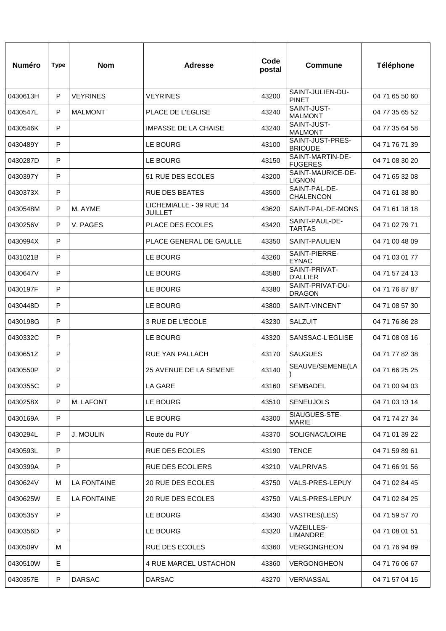| <b>Numéro</b> | <b>Type</b> | <b>Nom</b>         | <b>Adresse</b>                            | Code<br>postal | <b>Commune</b>                     | <b>Téléphone</b> |
|---------------|-------------|--------------------|-------------------------------------------|----------------|------------------------------------|------------------|
| 0430613H      | P           | <b>VEYRINES</b>    | <b>VEYRINES</b>                           | 43200          | SAINT-JULIEN-DU-<br><b>PINET</b>   | 04 71 65 50 60   |
| 0430547L      | P           | <b>MALMONT</b>     | <b>PLACE DE L'EGLISE</b>                  | 43240          | SAINT-JUST-<br><b>MALMONT</b>      | 04 77 35 65 52   |
| 0430546K      | P           |                    | <b>IMPASSE DE LA CHAISE</b>               | 43240          | SAINT-JUST-<br><b>MALMONT</b>      | 04 77 35 64 58   |
| 0430489Y      | P           |                    | LE BOURG                                  | 43100          | SAINT-JUST-PRES-<br><b>BRIOUDE</b> | 04 71 76 71 39   |
| 0430287D      | P           |                    | <b>LE BOURG</b>                           | 43150          | SAINT-MARTIN-DE-<br><b>FUGERES</b> | 04 71 08 30 20   |
| 0430397Y      | P           |                    | 51 RUE DES ECOLES                         | 43200          | SAINT-MAURICE-DE-<br><b>LIGNON</b> | 04 71 65 32 08   |
| 0430373X      | P           |                    | <b>RUE DES BEATES</b>                     | 43500          | SAINT-PAL-DE-<br><b>CHALENCON</b>  | 04 71 61 38 80   |
| 0430548M      | P           | M. AYME            | LICHEMIALLE - 39 RUE 14<br><b>JUILLET</b> | 43620          | SAINT-PAL-DE-MONS                  | 04 71 61 18 18   |
| 0430256V      | P           | V. PAGES           | PLACE DES ECOLES                          | 43420          | SAINT-PAUL-DE-<br><b>TARTAS</b>    | 04 71 02 79 71   |
| 0430994X      | P           |                    | PLACE GENERAL DE GAULLE                   | 43350          | SAINT-PAULIEN                      | 04 71 00 48 09   |
| 0431021B      | P           |                    | LE BOURG                                  | 43260          | SAINT-PIERRE-<br><b>EYNAC</b>      | 04 71 03 01 77   |
| 0430647V      | P           |                    | LE BOURG                                  | 43580          | SAINT-PRIVAT-<br><b>D'ALLIER</b>   | 04 71 57 24 13   |
| 0430197F      | P           |                    | <b>LE BOURG</b>                           | 43380          | SAINT-PRIVAT-DU-<br><b>DRAGON</b>  | 04 71 76 87 87   |
| 0430448D      | P           |                    | LE BOURG                                  | 43800          | SAINT-VINCENT                      | 04 71 08 57 30   |
| 0430198G      | P           |                    | 3 RUE DE L'ECOLE                          | 43230          | <b>SALZUIT</b>                     | 04 71 76 86 28   |
| 0430332C      | P           |                    | LE BOURG                                  | 43320          | SANSSAC-L'EGLISE                   | 04 71 08 03 16   |
| 0430651Z      | P           |                    | RUE YAN PALLACH                           | 43170          | <b>SAUGUES</b>                     | 04 71 77 82 38   |
| 0430550P      | P           |                    | 25 AVENUE DE LA SEMENE                    | 43140          | SEAUVE/SEMENE(LA                   | 04 71 66 25 25   |
| 0430355C      | P           |                    | LA GARE                                   | 43160          | SEMBADEL                           | 04 71 00 94 03   |
| 0430258X      | P           | M. LAFONT          | LE BOURG                                  | 43510          | <b>SENEUJOLS</b>                   | 04 71 03 13 14   |
| 0430169A      | P           |                    | LE BOURG                                  | 43300          | SIAUGUES-STE-<br><b>MARIE</b>      | 04 71 74 27 34   |
| 0430294L      | P           | J. MOULIN          | Route du PUY                              | 43370          | SOLIGNAC/LOIRE                     | 04 71 01 39 22   |
| 0430593L      | P           |                    | <b>RUE DES ECOLES</b>                     | 43190          | <b>TENCE</b>                       | 04 71 59 89 61   |
| 0430399A      | P           |                    | <b>RUE DES ECOLIERS</b>                   | 43210          | VALPRIVAS                          | 04 71 66 91 56   |
| 0430624V      | м           | <b>LA FONTAINE</b> | 20 RUE DES ECOLES                         | 43750          | VALS-PRES-LEPUY                    | 04 71 02 84 45   |
| 0430625W      | E.          | <b>LA FONTAINE</b> | 20 RUE DES ECOLES                         | 43750          | VALS-PRES-LEPUY                    | 04 71 02 84 25   |
| 0430535Y      | P           |                    | LE BOURG                                  | 43430          | VASTRES(LES)                       | 04 71 59 57 70   |
| 0430356D      | P           |                    | LE BOURG                                  | 43320          | VAZEILLES-<br><b>LIMANDRE</b>      | 04 71 08 01 51   |
| 0430509V      | M           |                    | <b>RUE DES ECOLES</b>                     | 43360          | VERGONGHEON                        | 04 71 76 94 89   |
| 0430510W      | E           |                    | 4 RUE MARCEL USTACHON                     | 43360          | VERGONGHEON                        | 04 71 76 06 67   |
| 0430357E      | ${\sf P}$   | <b>DARSAC</b>      | <b>DARSAC</b>                             | 43270          | VERNASSAL                          | 04 71 57 04 15   |